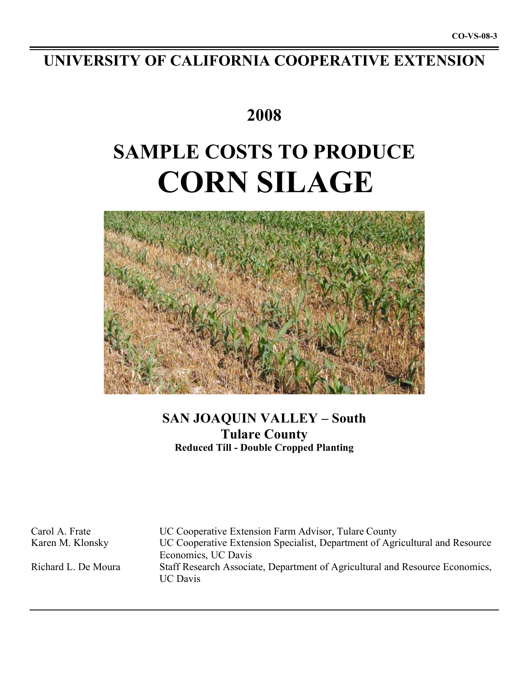# **UNIVERSITY OF CALIFORNIA COOPERATIVE EXTENSION**

# **2008**

# **SAMPLE COSTS TO PRODUCE CORN SILAGE**



# **SAN JOAQUIN VALLEY – South Tulare County Reduced Till - Double Cropped Planting**

Carol A. Frate UC Cooperative Extension Farm Advisor, Tulare County Karen M. Klonsky UC Cooperative Extension Specialist, Department of Agricultural and Resource Economics, UC Davis Richard L. De Moura Staff Research Associate, Department of Agricultural and Resource Economics, UC Davis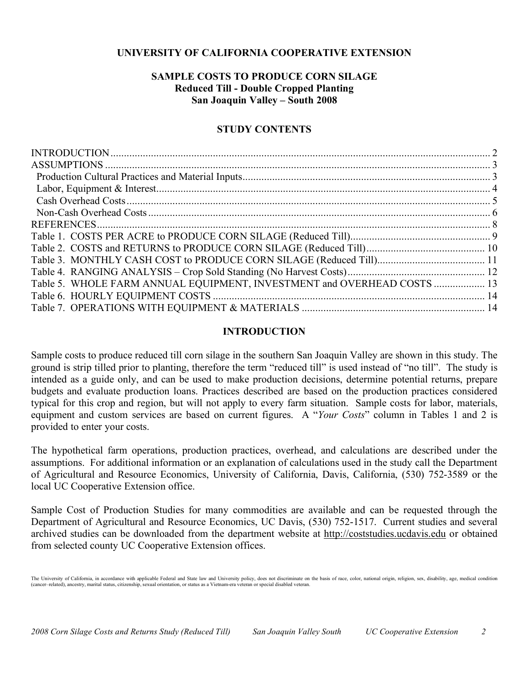## **UNIVERSITY OF CALIFORNIA COOPERATIVE EXTENSION**

# **SAMPLE COSTS TO PRODUCE CORN SILAGE Reduced Till - Double Cropped Planting San Joaquin Valley – South 2008**

## **STUDY CONTENTS**

| Table 5. WHOLE FARM ANNUAL EQUIPMENT, INVESTMENT and OVERHEAD COSTS  13 |  |
|-------------------------------------------------------------------------|--|
|                                                                         |  |
|                                                                         |  |

## **INTRODUCTION**

Sample costs to produce reduced till corn silage in the southern San Joaquin Valley are shown in this study. The ground is strip tilled prior to planting, therefore the term "reduced till" is used instead of "no till". The study is intended as a guide only, and can be used to make production decisions, determine potential returns, prepare budgets and evaluate production loans. Practices described are based on the production practices considered typical for this crop and region, but will not apply to every farm situation. Sample costs for labor, materials, equipment and custom services are based on current figures. A "*Your Costs*" column in Tables 1 and 2 is provided to enter your costs.

The hypothetical farm operations, production practices, overhead, and calculations are described under the assumptions. For additional information or an explanation of calculations used in the study call the Department of Agricultural and Resource Economics, University of California, Davis, California, (530) 752-3589 or the local UC Cooperative Extension office.

Sample Cost of Production Studies for many commodities are available and can be requested through the Department of Agricultural and Resource Economics, UC Davis, (530) 752-1517. Current studies and several archived studies can be downloaded from the department website at http://coststudies.ucdavis.edu or obtained from selected county UC Cooperative Extension offices.

The University of California, in accordance with applicable Federal and State law and University policy, does not discriminate on the basis of race, color, national origin, religion, sex, disability, age, medical condition (cancer–related), ancestry, marital status, citizenship, sexual orientation, or status as a Vietnam-era veteran or special disabled veteran.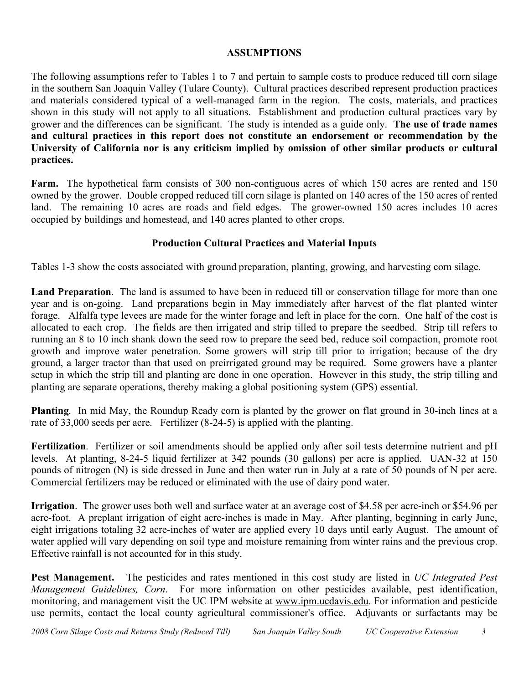## **ASSUMPTIONS**

The following assumptions refer to Tables 1 to 7 and pertain to sample costs to produce reduced till corn silage in the southern San Joaquin Valley (Tulare County). Cultural practices described represent production practices and materials considered typical of a well-managed farm in the region. The costs, materials, and practices shown in this study will not apply to all situations. Establishment and production cultural practices vary by grower and the differences can be significant. The study is intended as a guide only. **The use of trade names and cultural practices in this report does not constitute an endorsement or recommendation by the University of California nor is any criticism implied by omission of other similar products or cultural practices.**

**Farm.** The hypothetical farm consists of 300 non-contiguous acres of which 150 acres are rented and 150 owned by the grower. Double cropped reduced till corn silage is planted on 140 acres of the 150 acres of rented land. The remaining 10 acres are roads and field edges. The grower-owned 150 acres includes 10 acres occupied by buildings and homestead, and 140 acres planted to other crops.

# **Production Cultural Practices and Material Inputs**

Tables 1-3 show the costs associated with ground preparation, planting, growing, and harvesting corn silage.

**Land Preparation**. The land is assumed to have been in reduced till or conservation tillage for more than one year and is on-going. Land preparations begin in May immediately after harvest of the flat planted winter forage. Alfalfa type levees are made for the winter forage and left in place for the corn. One half of the cost is allocated to each crop. The fields are then irrigated and strip tilled to prepare the seedbed. Strip till refers to running an 8 to 10 inch shank down the seed row to prepare the seed bed, reduce soil compaction, promote root growth and improve water penetration. Some growers will strip till prior to irrigation; because of the dry ground, a larger tractor than that used on preirrigated ground may be required. Some growers have a planter setup in which the strip till and planting are done in one operation. However in this study, the strip tilling and planting are separate operations, thereby making a global positioning system (GPS) essential.

**Planting**. In mid May, the Roundup Ready corn is planted by the grower on flat ground in 30-inch lines at a rate of 33,000 seeds per acre. Fertilizer (8-24-5) is applied with the planting.

**Fertilization**. Fertilizer or soil amendments should be applied only after soil tests determine nutrient and pH levels. At planting, 8-24-5 liquid fertilizer at 342 pounds (30 gallons) per acre is applied. UAN-32 at 150 pounds of nitrogen (N) is side dressed in June and then water run in July at a rate of 50 pounds of N per acre. Commercial fertilizers may be reduced or eliminated with the use of dairy pond water.

**Irrigation**. The grower uses both well and surface water at an average cost of \$4.58 per acre-inch or \$54.96 per acre-foot. A preplant irrigation of eight acre-inches is made in May. After planting, beginning in early June, eight irrigations totaling 32 acre-inches of water are applied every 10 days until early August. The amount of water applied will vary depending on soil type and moisture remaining from winter rains and the previous crop. Effective rainfall is not accounted for in this study.

**Pest Management.** The pesticides and rates mentioned in this cost study are listed in *UC Integrated Pest Management Guidelines, Corn*. For more information on other pesticides available, pest identification, monitoring, and management visit the UC IPM website at www.ipm.ucdavis.edu. For information and pesticide use permits, contact the local county agricultural commissioner's office. Adjuvants or surfactants may be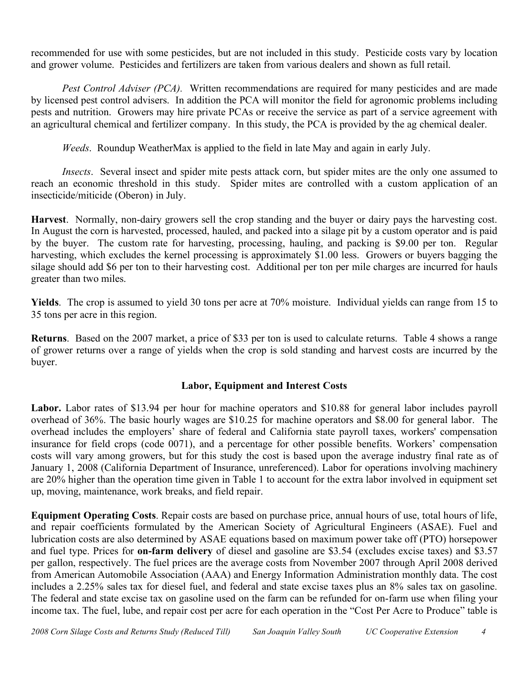recommended for use with some pesticides, but are not included in this study. Pesticide costs vary by location and grower volume. Pesticides and fertilizers are taken from various dealers and shown as full retail.

*Pest Control Adviser (PCA).* Written recommendations are required for many pesticides and are made by licensed pest control advisers. In addition the PCA will monitor the field for agronomic problems including pests and nutrition. Growers may hire private PCAs or receive the service as part of a service agreement with an agricultural chemical and fertilizer company. In this study, the PCA is provided by the ag chemical dealer.

*Weeds*. Roundup WeatherMax is applied to the field in late May and again in early July.

*Insects*. Several insect and spider mite pests attack corn, but spider mites are the only one assumed to reach an economic threshold in this study. Spider mites are controlled with a custom application of an insecticide/miticide (Oberon) in July.

**Harvest**. Normally, non-dairy growers sell the crop standing and the buyer or dairy pays the harvesting cost. In August the corn is harvested, processed, hauled, and packed into a silage pit by a custom operator and is paid by the buyer. The custom rate for harvesting, processing, hauling, and packing is \$9.00 per ton. Regular harvesting, which excludes the kernel processing is approximately \$1.00 less. Growers or buyers bagging the silage should add \$6 per ton to their harvesting cost. Additional per ton per mile charges are incurred for hauls greater than two miles.

**Yields**. The crop is assumed to yield 30 tons per acre at 70% moisture. Individual yields can range from 15 to 35 tons per acre in this region.

**Returns**. Based on the 2007 market, a price of \$33 per ton is used to calculate returns. Table 4 shows a range of grower returns over a range of yields when the crop is sold standing and harvest costs are incurred by the buyer.

# **Labor, Equipment and Interest Costs**

Labor. Labor rates of \$13.94 per hour for machine operators and \$10.88 for general labor includes payroll overhead of 36%. The basic hourly wages are \$10.25 for machine operators and \$8.00 for general labor. The overhead includes the employers' share of federal and California state payroll taxes, workers' compensation insurance for field crops (code 0071), and a percentage for other possible benefits. Workers' compensation costs will vary among growers, but for this study the cost is based upon the average industry final rate as of January 1, 2008 (California Department of Insurance, unreferenced). Labor for operations involving machinery are 20% higher than the operation time given in Table 1 to account for the extra labor involved in equipment set up, moving, maintenance, work breaks, and field repair.

**Equipment Operating Costs**. Repair costs are based on purchase price, annual hours of use, total hours of life, and repair coefficients formulated by the American Society of Agricultural Engineers (ASAE). Fuel and lubrication costs are also determined by ASAE equations based on maximum power take off (PTO) horsepower and fuel type. Prices for **on-farm delivery** of diesel and gasoline are \$3.54 (excludes excise taxes) and \$3.57 per gallon, respectively. The fuel prices are the average costs from November 2007 through April 2008 derived from American Automobile Association (AAA) and Energy Information Administration monthly data. The cost includes a 2.25% sales tax for diesel fuel, and federal and state excise taxes plus an 8% sales tax on gasoline. The federal and state excise tax on gasoline used on the farm can be refunded for on-farm use when filing your income tax. The fuel, lube, and repair cost per acre for each operation in the "Cost Per Acre to Produce" table is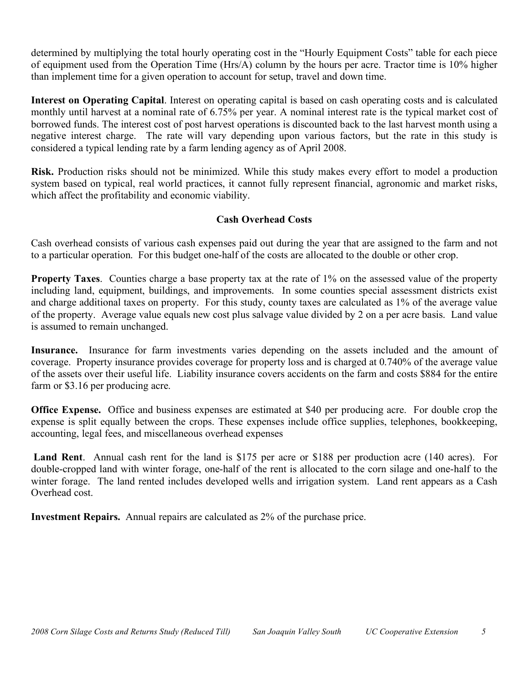determined by multiplying the total hourly operating cost in the "Hourly Equipment Costs" table for each piece of equipment used from the Operation Time (Hrs/A) column by the hours per acre. Tractor time is 10% higher than implement time for a given operation to account for setup, travel and down time.

**Interest on Operating Capital**. Interest on operating capital is based on cash operating costs and is calculated monthly until harvest at a nominal rate of 6.75% per year. A nominal interest rate is the typical market cost of borrowed funds. The interest cost of post harvest operations is discounted back to the last harvest month using a negative interest charge. The rate will vary depending upon various factors, but the rate in this study is considered a typical lending rate by a farm lending agency as of April 2008.

**Risk.** Production risks should not be minimized. While this study makes every effort to model a production system based on typical, real world practices, it cannot fully represent financial, agronomic and market risks, which affect the profitability and economic viability.

# **Cash Overhead Costs**

Cash overhead consists of various cash expenses paid out during the year that are assigned to the farm and not to a particular operation. For this budget one-half of the costs are allocated to the double or other crop.

**Property Taxes**. Counties charge a base property tax at the rate of 1% on the assessed value of the property including land, equipment, buildings, and improvements. In some counties special assessment districts exist and charge additional taxes on property. For this study, county taxes are calculated as 1% of the average value of the property. Average value equals new cost plus salvage value divided by 2 on a per acre basis. Land value is assumed to remain unchanged.

**Insurance.** Insurance for farm investments varies depending on the assets included and the amount of coverage. Property insurance provides coverage for property loss and is charged at 0.740% of the average value of the assets over their useful life. Liability insurance covers accidents on the farm and costs \$884 for the entire farm or \$3.16 per producing acre.

**Office Expense.** Office and business expenses are estimated at \$40 per producing acre. For double crop the expense is split equally between the crops. These expenses include office supplies, telephones, bookkeeping, accounting, legal fees, and miscellaneous overhead expenses

**Land Rent**. Annual cash rent for the land is \$175 per acre or \$188 per production acre (140 acres). For double-cropped land with winter forage, one-half of the rent is allocated to the corn silage and one-half to the winter forage. The land rented includes developed wells and irrigation system. Land rent appears as a Cash Overhead cost.

**Investment Repairs.** Annual repairs are calculated as 2% of the purchase price.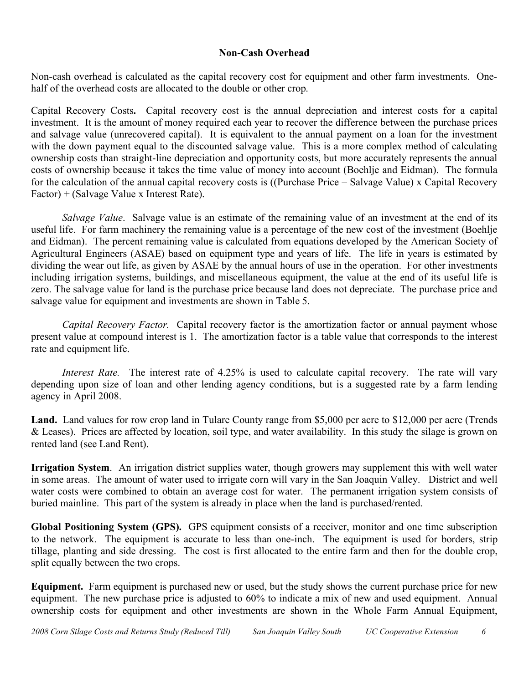# **Non-Cash Overhead**

Non-cash overhead is calculated as the capital recovery cost for equipment and other farm investments. Onehalf of the overhead costs are allocated to the double or other crop.

Capital Recovery Costs**.** Capital recovery cost is the annual depreciation and interest costs for a capital investment. It is the amount of money required each year to recover the difference between the purchase prices and salvage value (unrecovered capital). It is equivalent to the annual payment on a loan for the investment with the down payment equal to the discounted salvage value. This is a more complex method of calculating ownership costs than straight-line depreciation and opportunity costs, but more accurately represents the annual costs of ownership because it takes the time value of money into account (Boehlje and Eidman). The formula for the calculation of the annual capital recovery costs is ((Purchase Price – Salvage Value) x Capital Recovery Factor) + (Salvage Value x Interest Rate).

*Salvage Value*. Salvage value is an estimate of the remaining value of an investment at the end of its useful life. For farm machinery the remaining value is a percentage of the new cost of the investment (Boehlje and Eidman). The percent remaining value is calculated from equations developed by the American Society of Agricultural Engineers (ASAE) based on equipment type and years of life. The life in years is estimated by dividing the wear out life, as given by ASAE by the annual hours of use in the operation. For other investments including irrigation systems, buildings, and miscellaneous equipment, the value at the end of its useful life is zero. The salvage value for land is the purchase price because land does not depreciate. The purchase price and salvage value for equipment and investments are shown in Table 5.

*Capital Recovery Factor.* Capital recovery factor is the amortization factor or annual payment whose present value at compound interest is 1. The amortization factor is a table value that corresponds to the interest rate and equipment life.

*Interest Rate.* The interest rate of 4.25% is used to calculate capital recovery. The rate will vary depending upon size of loan and other lending agency conditions, but is a suggested rate by a farm lending agency in April 2008.

Land. Land values for row crop land in Tulare County range from \$5,000 per acre to \$12,000 per acre (Trends & Leases). Prices are affected by location, soil type, and water availability. In this study the silage is grown on rented land (see Land Rent).

**Irrigation System**. An irrigation district supplies water, though growers may supplement this with well water in some areas. The amount of water used to irrigate corn will vary in the San Joaquin Valley. District and well water costs were combined to obtain an average cost for water. The permanent irrigation system consists of buried mainline. This part of the system is already in place when the land is purchased/rented.

**Global Positioning System (GPS).** GPS equipment consists of a receiver, monitor and one time subscription to the network. The equipment is accurate to less than one-inch. The equipment is used for borders, strip tillage, planting and side dressing. The cost is first allocated to the entire farm and then for the double crop, split equally between the two crops.

**Equipment.** Farm equipment is purchased new or used, but the study shows the current purchase price for new equipment. The new purchase price is adjusted to 60% to indicate a mix of new and used equipment. Annual ownership costs for equipment and other investments are shown in the Whole Farm Annual Equipment,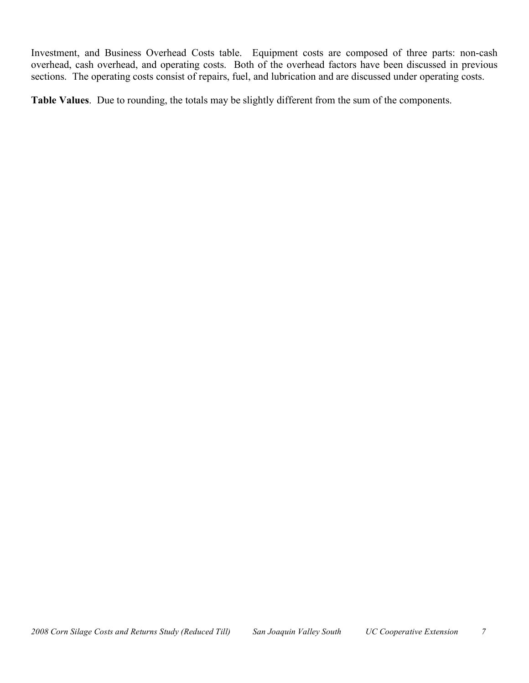Investment, and Business Overhead Costs table. Equipment costs are composed of three parts: non-cash overhead, cash overhead, and operating costs. Both of the overhead factors have been discussed in previous sections. The operating costs consist of repairs, fuel, and lubrication and are discussed under operating costs.

**Table Values**. Due to rounding, the totals may be slightly different from the sum of the components.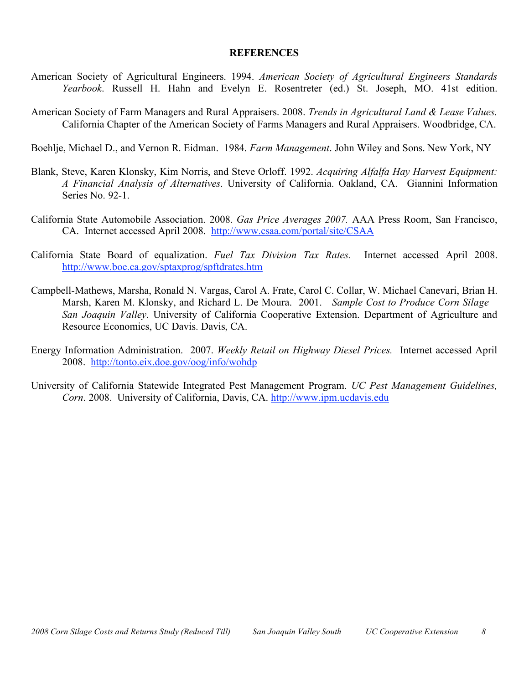#### **REFERENCES**

- American Society of Agricultural Engineers. 1994. *American Society of Agricultural Engineers Standards Yearbook*. Russell H. Hahn and Evelyn E. Rosentreter (ed.) St. Joseph, MO. 41st edition.
- American Society of Farm Managers and Rural Appraisers. 2008. *Trends in Agricultural Land & Lease Values.* California Chapter of the American Society of Farms Managers and Rural Appraisers. Woodbridge, CA.

Boehlje, Michael D., and Vernon R. Eidman. 1984. *Farm Management*. John Wiley and Sons. New York, NY

- Blank, Steve, Karen Klonsky, Kim Norris, and Steve Orloff. 1992. *Acquiring Alfalfa Hay Harvest Equipment: A Financial Analysis of Alternatives*. University of California. Oakland, CA. Giannini Information Series No. 92-1.
- California State Automobile Association. 2008. *Gas Price Averages 2007.* AAA Press Room, San Francisco, CA. Internet accessed April 2008. http://www.csaa.com/portal/site/CSAA
- California State Board of equalization. *Fuel Tax Division Tax Rates.* Internet accessed April 2008. http://www.boe.ca.gov/sptaxprog/spftdrates.htm
- Campbell-Mathews, Marsha, Ronald N. Vargas, Carol A. Frate, Carol C. Collar, W. Michael Canevari, Brian H. Marsh, Karen M. Klonsky, and Richard L. De Moura. 2001. *Sample Cost to Produce Corn Silage – San Joaquin Valley*. University of California Cooperative Extension. Department of Agriculture and Resource Economics, UC Davis. Davis, CA.
- Energy Information Administration. 2007. *Weekly Retail on Highway Diesel Prices.* Internet accessed April 2008. http://tonto.eix.doe.gov/oog/info/wohdp
- University of California Statewide Integrated Pest Management Program. *UC Pest Management Guidelines, Corn*. 2008. University of California, Davis, CA. http://www.ipm.ucdavis.edu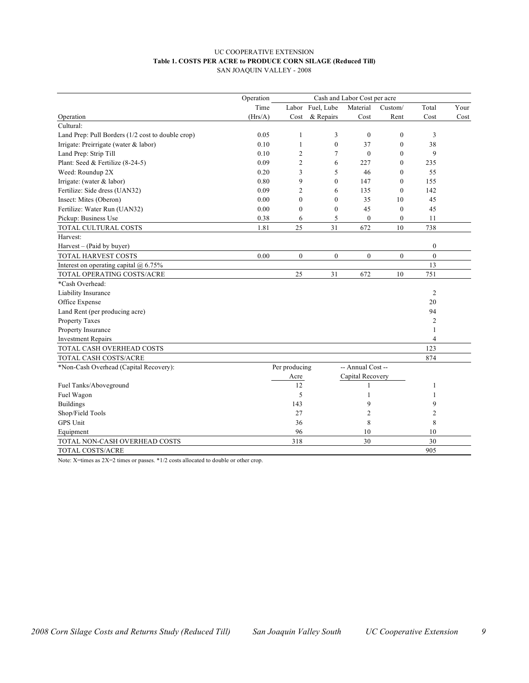#### UC COOPERATIVE EXTENSION **Table 1. COSTS PER ACRE to PRODUCE CORN SILAGE (Reduced Till)** SAN JOAQUIN VALLEY - 2008

|                                                   | Operation |                |                  | Cash and Labor Cost per acre |                  |                |      |
|---------------------------------------------------|-----------|----------------|------------------|------------------------------|------------------|----------------|------|
|                                                   | Time      |                | Labor Fuel, Lube | Material                     | Custom/          | Total          | Your |
| Operation                                         | (Hrs/A)   | Cost           | & Repairs        | Cost                         | Rent             | Cost           | Cost |
| Cultural:                                         |           |                |                  |                              |                  |                |      |
| Land Prep: Pull Borders (1/2 cost to double crop) | 0.05      | 1              | 3                | $\mathbf{0}$                 | $\mathbf{0}$     | 3              |      |
| Irrigate: Preirrigate (water & labor)             | 0.10      | 1              | $\overline{0}$   | 37                           | $\mathbf{0}$     | 38             |      |
| Land Prep: Strip Till                             | 0.10      | $\overline{2}$ | 7                | $\mathbf{0}$                 | $\mathbf{0}$     | 9              |      |
| Plant: Seed & Fertilize (8-24-5)                  | 0.09      | $\overline{2}$ | 6                | 227                          | $\boldsymbol{0}$ | 235            |      |
| Weed: Roundup 2X                                  | 0.20      | 3              | 5                | 46                           | $\theta$         | 55             |      |
| Irrigate: (water $&$ labor)                       | 0.80      | 9              | $\theta$         | 147                          | $\mathbf{0}$     | 155            |      |
| Fertilize: Side dress (UAN32)                     | 0.09      | $\overline{2}$ | 6                | 135                          | $\mathbf{0}$     | 142            |      |
| Insect: Mites (Oberon)                            | 0.00      | $\theta$       | 0                | 35                           | 10               | 45             |      |
| Fertilize: Water Run (UAN32)                      | 0.00      | $\mathbf{0}$   | $\boldsymbol{0}$ | 45                           | $\boldsymbol{0}$ | 45             |      |
| Pickup: Business Use                              | 0.38      | 6              | 5                | $\overline{0}$               | $\boldsymbol{0}$ | 11             |      |
| TOTAL CULTURAL COSTS                              | 1.81      | 25             | 31               | 672                          | 10               | 738            |      |
| Harvest:                                          |           |                |                  |                              |                  |                |      |
| Harvest – (Paid by buyer)                         |           |                |                  |                              |                  | $\mathbf{0}$   |      |
| TOTAL HARVEST COSTS                               | 0.00      | $\mathbf{0}$   | $\mathbf{0}$     | $\mathbf{0}$                 | $\overline{0}$   | $\overline{0}$ |      |
| Interest on operating capital $(a)$ 6.75%         |           |                |                  |                              |                  | 13             |      |
| TOTAL OPERATING COSTS/ACRE                        |           | 25             | 31               | 672                          | 10               | 751            |      |
| *Cash Overhead:                                   |           |                |                  |                              |                  |                |      |
| Liability Insurance                               |           |                |                  |                              |                  | $\overline{2}$ |      |
| Office Expense                                    |           |                |                  |                              |                  | 20             |      |
| Land Rent (per producing acre)                    |           |                |                  |                              |                  | 94             |      |
| <b>Property Taxes</b>                             |           |                |                  |                              |                  | $\overline{2}$ |      |
| Property Insurance                                |           |                |                  |                              |                  | 1              |      |
| <b>Investment Repairs</b>                         |           |                |                  |                              |                  | $\overline{4}$ |      |
| TOTAL CASH OVERHEAD COSTS                         |           |                |                  |                              |                  | 123            |      |
| TOTAL CASH COSTS/ACRE                             |           |                |                  |                              |                  | 874            |      |
| *Non-Cash Overhead (Capital Recovery):            |           | Per producing  |                  | -- Annual Cost --            |                  |                |      |
|                                                   |           | Acre           |                  | Capital Recovery             |                  |                |      |
| Fuel Tanks/Aboveground                            |           | 12             |                  | 1                            |                  | 1              |      |
| Fuel Wagon                                        |           | 5              |                  | 1                            |                  | 1              |      |
| <b>Buildings</b>                                  |           | 143            |                  | 9                            |                  | 9              |      |
| Shop/Field Tools                                  |           | 27             |                  | 2                            |                  | 2              |      |
| <b>GPS Unit</b>                                   |           | 36             |                  | 8                            |                  | 8              |      |
| Equipment                                         |           | 96             |                  | 10                           |                  | 10             |      |
| TOTAL NON-CASH OVERHEAD COSTS                     |           | 318            |                  | 30                           |                  | 30             |      |
| TOTAL COSTS/ACRE                                  |           |                |                  |                              |                  | 905            |      |

Note: X=times as 2X=2 times or passes. \*1/2 costs allocated to double or other crop.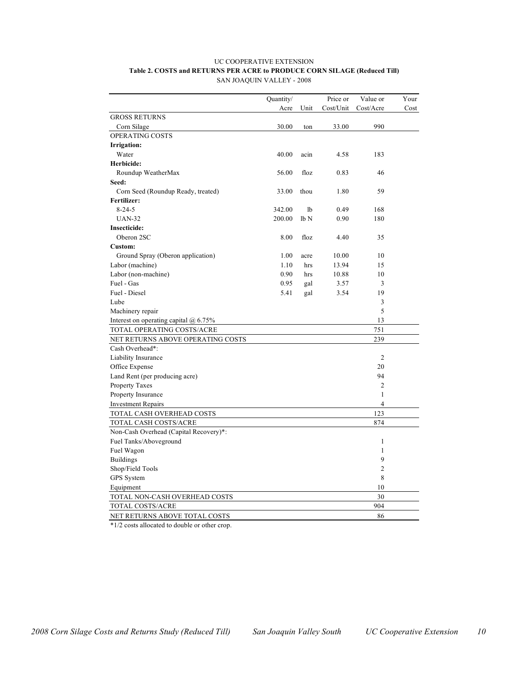#### UC COOPERATIVE EXTENSION **Table 2. COSTS and RETURNS PER ACRE to PRODUCE CORN SILAGE (Reduced Till)** SAN JOAQUIN VALLEY - 2008

|                                         | Quantity/ |                  | Price or  | Value or       | Your |
|-----------------------------------------|-----------|------------------|-----------|----------------|------|
|                                         | Acre      |                  | Cost/Unit | Cost/Acre      |      |
| <b>GROSS RETURNS</b>                    |           | Unit             |           |                | Cost |
|                                         | 30.00     |                  | 33.00     | 990            |      |
| Corn Silage<br><b>OPERATING COSTS</b>   |           | ton              |           |                |      |
|                                         |           |                  |           |                |      |
| Irrigation:<br>Water                    | 40.00     | acin             | 4.58      | 183            |      |
|                                         |           |                  |           |                |      |
| Herbicide:                              |           |                  |           |                |      |
| Roundup WeatherMax                      | 56.00     | floz             | 0.83      | 46             |      |
| Seed:                                   |           |                  |           |                |      |
| Corn Seed (Roundup Ready, treated)      | 33.00     | thou             | 1.80      | 59             |      |
| Fertilizer:                             |           |                  |           |                |      |
| $8 - 24 - 5$                            | 342.00    | 1b               | 0.49      | 168            |      |
| <b>UAN-32</b>                           | 200.00    | 1 <sub>b</sub> N | 0.90      | 180            |      |
| <b>Insecticide:</b>                     |           |                  |           |                |      |
| Oberon 2SC                              | 8.00      | floz             | 4.40      | 35             |      |
| Custom:                                 |           |                  |           |                |      |
| Ground Spray (Oberon application)       | 1.00      | acre             | 10.00     | 10             |      |
| Labor (machine)                         | 1.10      | hrs              | 13.94     | 15             |      |
| Labor (non-machine)                     | 0.90      | hrs              | 10.88     | 10             |      |
| Fuel - Gas                              | 0.95      | gal              | 3.57      | 3              |      |
| Fuel - Diesel                           | 5.41      | gal              | 3.54      | 19             |      |
| Lube                                    |           |                  |           | 3              |      |
| Machinery repair                        |           |                  |           | 5              |      |
| Interest on operating capital $@$ 6.75% |           |                  |           | 13             |      |
| TOTAL OPERATING COSTS/ACRE              |           |                  |           | 751            |      |
| NET RETURNS ABOVE OPERATING COSTS       |           |                  |           | 239            |      |
| Cash Overhead*:                         |           |                  |           |                |      |
| Liability Insurance                     |           |                  |           | $\overline{2}$ |      |
| Office Expense                          |           |                  |           | 20             |      |
| Land Rent (per producing acre)          |           |                  |           | 94             |      |
| <b>Property Taxes</b>                   |           |                  |           | $\overline{2}$ |      |
| Property Insurance                      |           |                  |           | 1              |      |
| <b>Investment Repairs</b>               |           |                  |           | $\overline{4}$ |      |
| TOTAL CASH OVERHEAD COSTS               |           |                  |           | 123            |      |
| TOTAL CASH COSTS/ACRE                   |           |                  |           | 874            |      |
| Non-Cash Overhead (Capital Recovery)*:  |           |                  |           |                |      |
| Fuel Tanks/Aboveground                  |           |                  |           | 1              |      |
| Fuel Wagon                              |           |                  |           | 1              |      |
| <b>Buildings</b>                        |           |                  |           | 9              |      |
| Shop/Field Tools                        |           |                  |           | $\overline{c}$ |      |
| GPS System                              |           |                  |           | 8              |      |
| Equipment                               |           |                  |           | 10             |      |
|                                         |           |                  |           | 30             |      |
| TOTAL NON-CASH OVERHEAD COSTS           |           |                  |           | 904            |      |
| TOTAL COSTS/ACRE                        |           |                  |           |                |      |
| NET RETURNS ABOVE TOTAL COSTS           |           |                  |           | 86             |      |

\*1/2 costs allocated to double or other crop.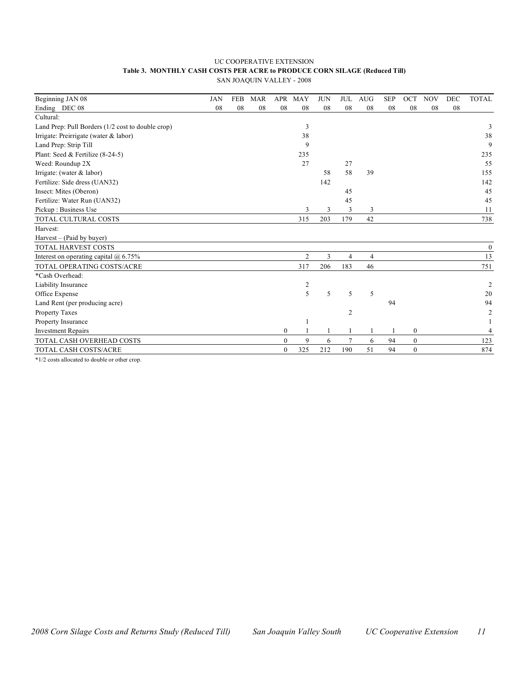#### UC COOPERATIVE EXTENSION **Table 3. MONTHLY CASH COSTS PER ACRE to PRODUCE CORN SILAGE (Reduced Till)** SAN JOAQUIN VALLEY - 2008

| Beginning JAN 08                                  | <b>JAN</b> | <b>FEB</b> | <b>MAR</b> | <b>APR</b>   | <b>MAY</b>     | <b>JUN</b> | <b>JUL</b>     | <b>AUG</b>     | <b>SEP</b> | <b>OCT</b>       | <b>NOV</b> | <b>DEC</b> | <b>TOTAL</b>   |
|---------------------------------------------------|------------|------------|------------|--------------|----------------|------------|----------------|----------------|------------|------------------|------------|------------|----------------|
| Ending DEC 08                                     | 08         | 08         | 08         | 08           | 08             | 08         | 08             | 08             | 08         | 08               | 08         | 08         |                |
| Cultural:                                         |            |            |            |              |                |            |                |                |            |                  |            |            |                |
| Land Prep: Pull Borders (1/2 cost to double crop) |            |            |            |              | 3              |            |                |                |            |                  |            |            | 3              |
| Irrigate: Preirrigate (water & labor)             |            |            |            |              | 38             |            |                |                |            |                  |            |            | 38             |
| Land Prep: Strip Till                             |            |            |            |              | 9              |            |                |                |            |                  |            |            | 9              |
| Plant: Seed & Fertilize (8-24-5)                  |            |            |            |              | 235            |            |                |                |            |                  |            |            | 235            |
| Weed: Roundup 2X                                  |            |            |            |              | 27             |            | 27             |                |            |                  |            |            | 55             |
| Irrigate: (water & labor)                         |            |            |            |              |                | 58         | 58             | 39             |            |                  |            |            | 155            |
| Fertilize: Side dress (UAN32)                     |            |            |            |              |                | 142        |                |                |            |                  |            |            | 142            |
| Insect: Mites (Oberon)                            |            |            |            |              |                |            | 45             |                |            |                  |            |            | 45             |
| Fertilize: Water Run (UAN32)                      |            |            |            |              |                |            | 45             |                |            |                  |            |            | 45             |
| Pickup: Business Use                              |            |            |            |              | 3              | 3          | 3              | 3              |            |                  |            |            | 11             |
| TOTAL CULTURAL COSTS                              |            |            |            |              | 315            | 203        | 179            | 42             |            |                  |            |            | 738            |
| Harvest:                                          |            |            |            |              |                |            |                |                |            |                  |            |            |                |
| Harvest - (Paid by buyer)                         |            |            |            |              |                |            |                |                |            |                  |            |            |                |
| <b>TOTAL HARVEST COSTS</b>                        |            |            |            |              |                |            |                |                |            |                  |            |            | $\theta$       |
| Interest on operating capital $(a)$ 6.75%         |            |            |            |              | 2              | 3          | 4              | $\overline{4}$ |            |                  |            |            | 13             |
| TOTAL OPERATING COSTS/ACRE                        |            |            |            |              | 317            | 206        | 183            | 46             |            |                  |            |            | 751            |
| *Cash Overhead:                                   |            |            |            |              |                |            |                |                |            |                  |            |            |                |
| Liability Insurance                               |            |            |            |              | $\overline{c}$ |            |                |                |            |                  |            |            | $\overline{2}$ |
| Office Expense                                    |            |            |            |              | 5              | 5          | 5              | 5              |            |                  |            |            | 20             |
| Land Rent (per producing acre)                    |            |            |            |              |                |            |                |                | 94         |                  |            |            | 94             |
| Property Taxes                                    |            |            |            |              |                |            | $\overline{c}$ |                |            |                  |            |            | $\overline{2}$ |
| Property Insurance                                |            |            |            |              |                |            |                |                |            |                  |            |            |                |
| <b>Investment Repairs</b>                         |            |            |            | $\mathbf{0}$ | $\mathbf{1}$   |            |                |                | 1          | $\boldsymbol{0}$ |            |            | 4              |
| TOTAL CASH OVERHEAD COSTS                         |            |            |            | $\theta$     | 9              | 6          | 7              | 6              | 94         | $\mathbf{0}$     |            |            | 123            |
| TOTAL CASH COSTS/ACRE                             |            |            |            | $\mathbf{0}$ | 325            | 212        | 190            | 51             | 94         | $\mathbf{0}$     |            |            | 874            |

\*1/2 costs allocated to double or other crop.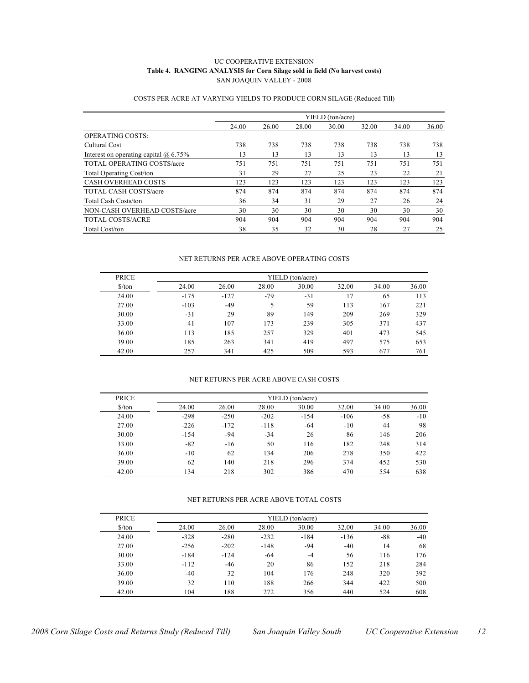#### UC COOPERATIVE EXTENSION **Table 4. RANGING ANALYSIS for Corn Silage sold in field (No harvest costs)** SAN JOAQUIN VALLEY - 2008

|                                              |       |       |       | YIELD (ton/acre) |       |       |       |
|----------------------------------------------|-------|-------|-------|------------------|-------|-------|-------|
|                                              | 24.00 | 26.00 | 28.00 | 30.00            | 32.00 | 34.00 | 36.00 |
| <b>OPERATING COSTS:</b>                      |       |       |       |                  |       |       |       |
| Cultural Cost                                | 738   | 738   | 738   | 738              | 738   | 738   | 738   |
| Interest on operating capital $\omega$ 6.75% | 13    | 13    | 13    | 13               | 13    | 13    | 13    |
| <b>TOTAL OPERATING COSTS/acre</b>            | 751   | 751   | 751   | 751              | 751   | 751   | 751   |
| <b>Total Operating Cost/ton</b>              | 31    | 29    | 27    | 25               | 23    | 22    | 21    |
| <b>CASH OVERHEAD COSTS</b>                   | 123   | 123   | 123   | 123              | 123   | 123   | 123   |
| <b>TOTAL CASH COSTS/acre</b>                 | 874   | 874   | 874   | 874              | 874   | 874   | 874   |
| <b>Total Cash Costs/ton</b>                  | 36    | 34    | 31    | 29               | 27    | 26    | 24    |
| NON-CASH OVERHEAD COSTS/acre                 | 30    | 30    | 30    | 30               | 30    | 30    | 30    |
| TOTAL COSTS/ACRE                             | 904   | 904   | 904   | 904              | 904   | 904   | 904   |
| Total Cost/ton                               | 38    | 35    | 32    | 30               | 28    | 27    | 25    |

#### COSTS PER ACRE AT VARYING YIELDS TO PRODUCE CORN SILAGE (Reduced Till)

#### NET RETURNS PER ACRE ABOVE OPERATING COSTS

| <b>PRICE</b>         | YIELD (ton/acre) |        |       |       |       |       |       |  |  |  |  |
|----------------------|------------------|--------|-------|-------|-------|-------|-------|--|--|--|--|
| $\frac{\sqrt{2}}{2}$ | 24.00            | 26.00  | 28.00 | 30.00 | 32.00 | 34.00 | 36.00 |  |  |  |  |
| 24.00                | $-175$           | $-127$ | $-79$ | $-31$ | 17    | 65    | 113   |  |  |  |  |
| 27.00                | $-103$           | $-49$  | 5     | 59    | 113   | 167   | 221   |  |  |  |  |
| 30.00                | $-31$            | 29     | 89    | 149   | 209   | 269   | 329   |  |  |  |  |
| 33.00                | 41               | 107    | 173   | 239   | 305   | 371   | 437   |  |  |  |  |
| 36.00                | 113              | 185    | 257   | 329   | 401   | 473   | 545   |  |  |  |  |
| 39.00                | 185              | 263    | 341   | 419   | 497   | 575   | 653   |  |  |  |  |
| 42.00                | 257              | 341    | 425   | 509   | 593   | 677   | 761   |  |  |  |  |

#### NET RETURNS PER ACRE ABOVE CASH COSTS

| <b>PRICE</b>         | YIELD (ton/acre) |        |        |        |        |       |       |  |  |  |  |
|----------------------|------------------|--------|--------|--------|--------|-------|-------|--|--|--|--|
| $\frac{\sqrt{2}}{2}$ | 24.00            | 26.00  | 28.00  | 30.00  | 32.00  | 34.00 | 36.00 |  |  |  |  |
| 24.00                | $-298$           | $-250$ | $-202$ | $-154$ | $-106$ | $-58$ | $-10$ |  |  |  |  |
| 27.00                | $-226$           | $-172$ | $-118$ | -64    | $-10$  | 44    | 98    |  |  |  |  |
| 30.00                | $-154$           | -94    | $-34$  | 26     | 86     | 146   | 206   |  |  |  |  |
| 33.00                | $-82$            | $-16$  | 50     | 116    | 182    | 248   | 314   |  |  |  |  |
| 36.00                | $-10$            | 62     | 134    | 206    | 278    | 350   | 422   |  |  |  |  |
| 39.00                | 62               | 140    | 218    | 296    | 374    | 452   | 530   |  |  |  |  |
| 42.00                | 134              | 218    | 302    | 386    | 470    | 554   | 638   |  |  |  |  |

#### NET RETURNS PER ACRE ABOVE TOTAL COSTS

| <b>PRICE</b>         |        | YIELD (ton/acre) |        |        |        |       |       |  |  |  |  |  |
|----------------------|--------|------------------|--------|--------|--------|-------|-------|--|--|--|--|--|
| $\frac{\sqrt{2}}{2}$ | 24.00  | 26.00            | 28.00  | 30.00  | 32.00  | 34.00 | 36.00 |  |  |  |  |  |
| 24.00                | $-328$ | $-280$           | $-232$ | $-184$ | $-136$ | -88   | $-40$ |  |  |  |  |  |
| 27.00                | $-256$ | $-202$           | $-148$ | -94    | $-40$  | 14    | 68    |  |  |  |  |  |
| 30.00                | $-184$ | $-124$           | -64    | $-4$   | 56     | 116   | 176   |  |  |  |  |  |
| 33.00                | $-112$ | $-46$            | 20     | 86     | 152    | 218   | 284   |  |  |  |  |  |
| 36.00                | $-40$  | 32               | 104    | 176    | 248    | 320   | 392   |  |  |  |  |  |
| 39.00                | 32     | 110              | 188    | 266    | 344    | 422   | 500   |  |  |  |  |  |
| 42.00                | 104    | 188              | 272    | 356    | 440    | 524   | 608   |  |  |  |  |  |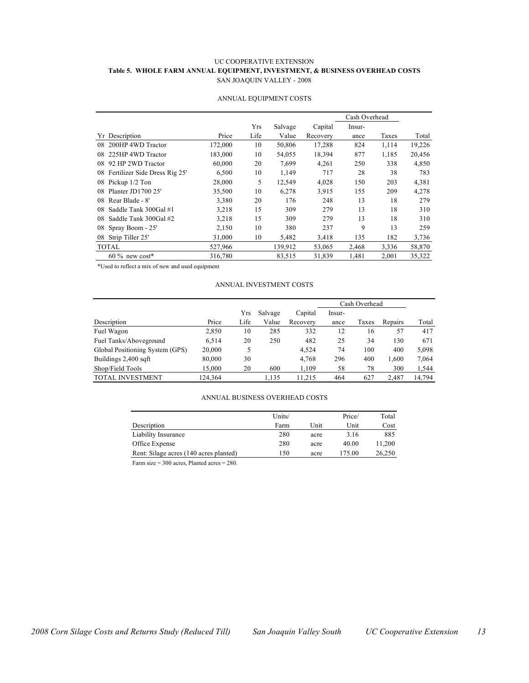#### UC COOPERATIVE EXTENSION **Table 5. WHOLE FARM ANNUAL EQUIPMENT, INVESTMENT, & BUSINESS OVERHEAD COSTS** SAN JOAQUIN VALLEY - 2008

|                                     |         |            |         |          | Cash Overhead |       |        |
|-------------------------------------|---------|------------|---------|----------|---------------|-------|--------|
|                                     |         | <b>Yrs</b> | Salvage | Capital  | Insur-        |       |        |
| Description<br>Yr                   | Price   | Life       | Value   | Recovery | ance          | Taxes | Total  |
| 200HP 4WD Tractor<br>08             | 172,000 | 10         | 50,806  | 17,288   | 824           | 1,114 | 19,226 |
| 225HP 4WD Tractor<br>08             | 183,000 | 10         | 54,055  | 18,394   | 877           | 1,185 | 20,456 |
| 92 HP 2WD Tractor<br>08             | 60,000  | 20         | 7,699   | 4,261    | 250           | 338   | 4,850  |
| Fertilizer Side Dress Rig 25'<br>08 | 6,500   | 10         | 1,149   | 717      | 28            | 38    | 783    |
| Pickup 1/2 Ton<br>08                | 28,000  | 5          | 12,549  | 4.028    | 150           | 203   | 4,381  |
| Planter JD1700 25'<br>08            | 35,500  | 10         | 6,278   | 3,915    | 155           | 209   | 4,278  |
| Rear Blade - 8'<br>08               | 3,380   | 20         | 176     | 248      | 13            | 18    | 279    |
| Saddle Tank 300Gal #1<br>08         | 3,218   | 15         | 309     | 279      | 13            | 18    | 310    |
| Saddle Tank 300Gal #2<br>08         | 3,218   | 15         | 309     | 279      | 13            | 18    | 310    |
| 08<br>Spray Boom - 25'              | 2,150   | 10         | 380     | 237      | 9             | 13    | 259    |
| Strip Tiller 25'<br>08              | 31.000  | 10         | 5,482   | 3,418    | 135           | 182   | 3,736  |
| <b>TOTAL</b>                        | 527,966 |            | 139,912 | 53,065   | 2,468         | 3,336 | 58,870 |
| $60\%$ new cost*                    | 316,780 |            | 83,515  | 31,839   | 1,481         | 2,001 | 35,322 |

#### ANNUAL EQUIPMENT COSTS

\*Used to reflect a mix of new and used equipment

#### ANNUAL INVESTMENT COSTS

|                                 |         |      |         |          |        | Cash Overhead |         |        |
|---------------------------------|---------|------|---------|----------|--------|---------------|---------|--------|
|                                 |         | Yrs  | Salvage | Capital  | Insur- |               |         |        |
| Description                     | Price   | Life | Value   | Recovery | ance   | Taxes         | Repairs | Total  |
| Fuel Wagon                      | 2,850   | 10   | 285     | 332      | 12     | 16            | 57      | 417    |
| Fuel Tanks/Aboveground          | 6.514   | 20   | 250     | 482      | 25     | 34            | 130     | 671    |
| Global Positioning System (GPS) | 20,000  |      |         | 4.524    | 74     | 100           | 400     | 5,098  |
| Buildings 2,400 sqft            | 80,000  | 30   |         | 4,768    | 296    | 400           | 1,600   | 7,064  |
| Shop/Field Tools                | 15.000  | 20   | 600     | 1,109    | 58     | 78            | 300     | 1,544  |
| TOTAL INVESTMENT                | 124.364 |      | 1,135   | 11.215   | 464    | 627           | 2.487   | 14.794 |

#### ANNUAL BUSINESS OVERHEAD COSTS

|                                        | Units/ |      | Price/ | Total  |
|----------------------------------------|--------|------|--------|--------|
| Description                            | Farm   | Unit | Unit   | Cost   |
| Liability Insurance                    | 280    | acre | 3.16   | 885    |
| Office Expense                         | 280    | acre | 40.00  | 11,200 |
| Rent: Silage acres (140 acres planted) | 150    | acre | 175.00 | 26,250 |

Farm size = 300 acres, Planted acres = 280.